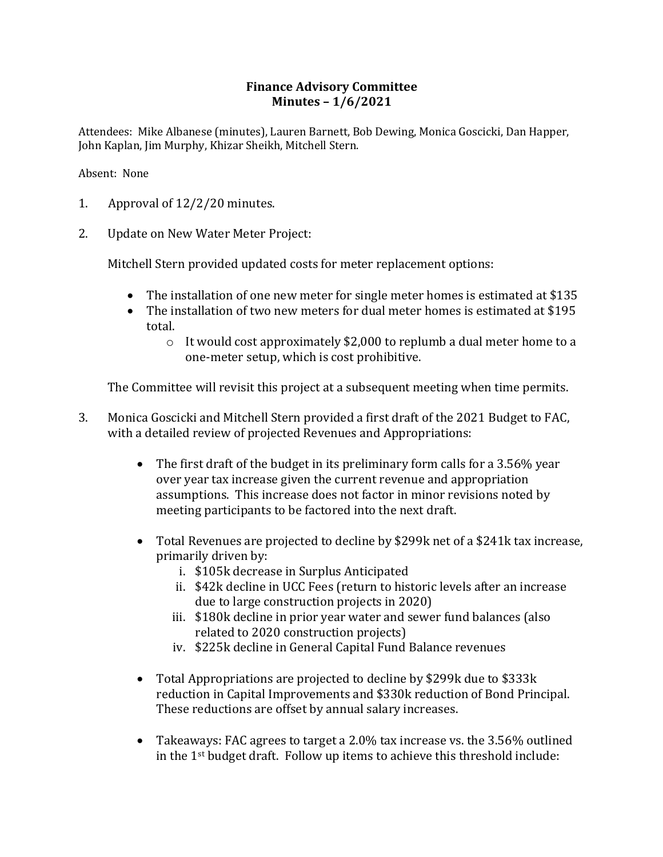## **Finance Advisory Committee Minutes – 1/6/2021**

Attendees: Mike Albanese (minutes), Lauren Barnett, Bob Dewing, Monica Goscicki, Dan Happer, John Kaplan, Jim Murphy, Khizar Sheikh, Mitchell Stern.

Absent: None

- 1. Approval of  $12/2/20$  minutes.
- 2. Update on New Water Meter Project:

Mitchell Stern provided updated costs for meter replacement options:

- The installation of one new meter for single meter homes is estimated at  $$135$
- The installation of two new meters for dual meter homes is estimated at \$195 total.
	- $\circ$  It would cost approximately \$2,000 to replumb a dual meter home to a one-meter setup, which is cost prohibitive.

The Committee will revisit this project at a subsequent meeting when time permits.

- 3. Monica Goscicki and Mitchell Stern provided a first draft of the 2021 Budget to FAC, with a detailed review of projected Revenues and Appropriations:
	- The first draft of the budget in its preliminary form calls for a 3.56% year over year tax increase given the current revenue and appropriation assumptions. This increase does not factor in minor revisions noted by meeting participants to be factored into the next draft.
	- Total Revenues are projected to decline by \$299k net of a \$241k tax increase, primarily driven by:
		- i. \$105k decrease in Surplus Anticipated
		- ii. \$42k decline in UCC Fees (return to historic levels after an increase due to large construction projects in 2020)
		- iii. \$180k decline in prior year water and sewer fund balances (also related to 2020 construction projects)
		- iv. \$225k decline in General Capital Fund Balance revenues
	- Total Appropriations are projected to decline by \$299k due to \$333k reduction in Capital Improvements and \$330k reduction of Bond Principal. These reductions are offset by annual salary increases.
	- Takeaways: FAC agrees to target a 2.0% tax increase vs. the 3.56% outlined in the  $1<sup>st</sup>$  budget draft. Follow up items to achieve this threshold include: